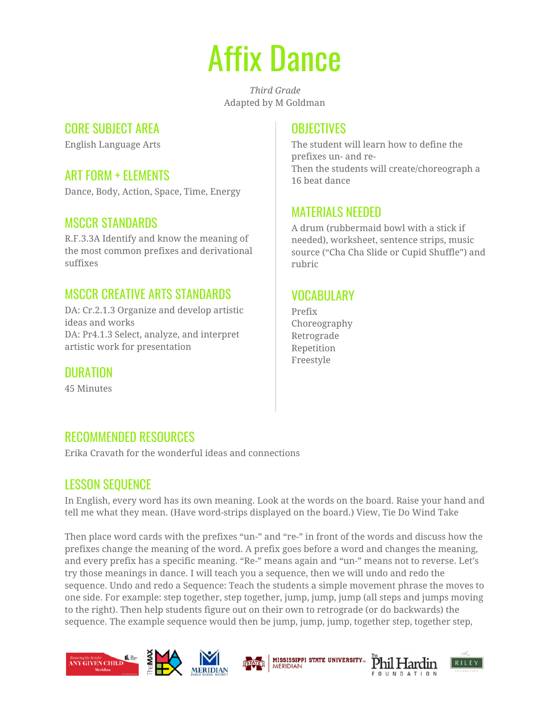# Affix Dance

*Third Grade* Adapted by M Goldman

#### CORE SUBJECT AREA

English Language Arts

## ART FORM + ELEMENTS

Dance, Body, Action, Space, Time, Energy

## MSCCR STANDARDS

R.F.3.3A Identify and know the meaning of the most common prefixes and derivational suffixes

#### MSCCR CREATIVE ARTS STANDARDS

DA: Cr.2.1.3 Organize and develop artistic ideas and works DA: Pr4.1.3 Select, analyze, and interpret artistic work for presentation

DURATION

45 Minutes

#### **OBJECTIVES**

The student will learn how to define the prefixes un- and re-Then the students will create/choreograph a 16 beat dance

## MATERIALS NEEDED

A drum (rubbermaid bowl with a stick if needed), worksheet, sentence strips, music source ("Cha Cha Slide or Cupid Shuffle") and rubric

## **VOCABULARY**

Prefix Choreography Retrograde Repetition Freestyle

## RECOMMENDED RESOURCES

Erika Cravath for the wonderful ideas and connections

## LESSON SEQUENCE

In English, every word has its own meaning. Look at the words on the board. Raise your hand and tell me what they mean. (Have word-strips displayed on the board.) View, Tie Do Wind Take

Then place word cards with the prefixes "un-" and "re-" in front of the words and discuss how the prefixes change the meaning of the word. A prefix goes before a word and changes the meaning, and every prefix has a specific meaning. "Re-" means again and "un-" means not to reverse. Let's try those meanings in dance. I will teach you a sequence, then we will undo and redo the sequence. Undo and redo a Sequence: Teach the students a simple movement phrase the moves to one side. For example: step together, step together, jump, jump, jump (all steps and jumps moving to the right). Then help students figure out on their own to retrograde (or do backwards) the sequence. The example sequence would then be jump, jump, jump, together step, together step,